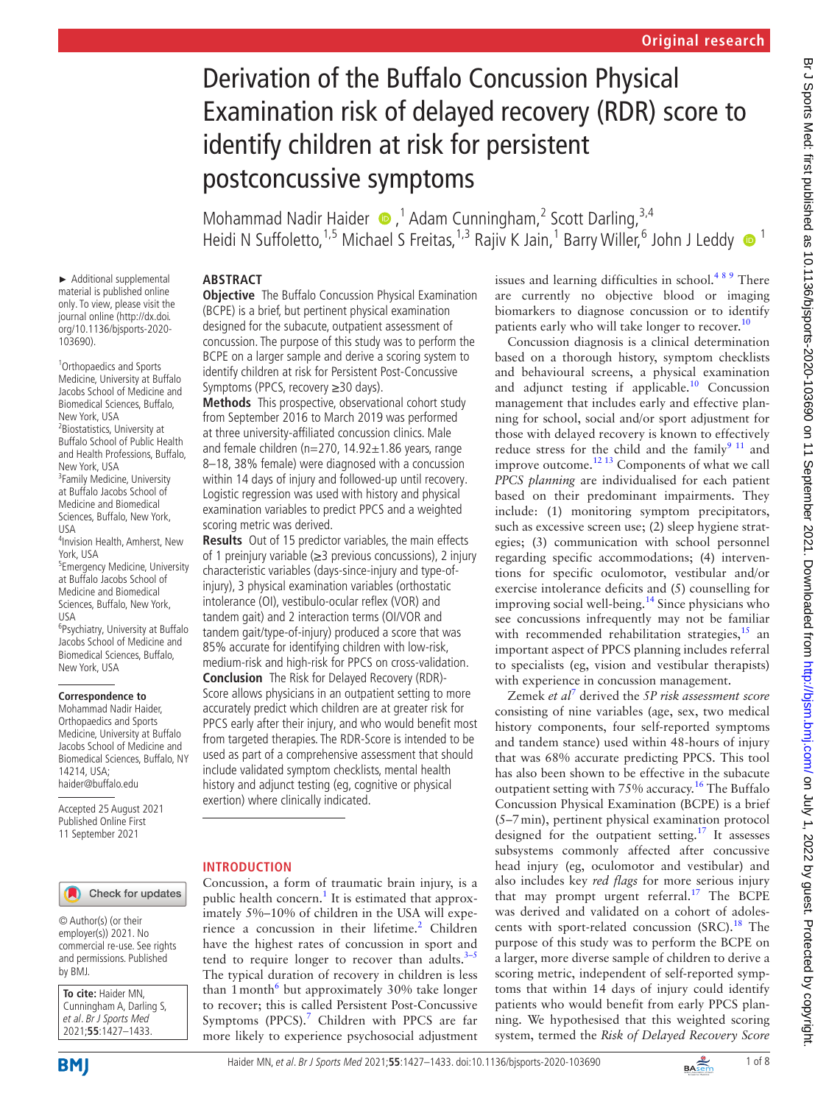# Derivation of the Buffalo Concussion Physical Examination risk of delayed recovery (RDR) score to identify children at risk for persistent postconcussive symptoms

Mohammad Nadir Haider  $\bullet$ ,<sup>1</sup> Adam Cunningham,<sup>2</sup> Scott Darling,<sup>3,4</sup> Heidi N Suffoletto,<sup>1,5</sup> Michael S Freitas,<sup>1,3</sup> Rajiv K Jain,<sup>1</sup> Barry Willer,<sup>6</sup> John J Leddy <sup>1</sup>

## **ABSTRACT**

► Additional supplemental material is published online only. To view, please visit the journal online ([http://dx.doi.](http://dx.doi.org/10.1136/bjsports-2020-103690) [org/10.1136/bjsports-2020-](http://dx.doi.org/10.1136/bjsports-2020-103690)

<sup>1</sup> Orthopaedics and Sports Medicine, University at Buffalo Jacobs School of Medicine and Biomedical Sciences, Buffalo,

<sup>3</sup> Family Medicine, University at Buffalo Jacobs School of Medicine and Biomedical Sciences, Buffalo, New York,

4 Invision Health, Amherst, New

5 Emergency Medicine, University at Buffalo Jacobs School of Medicine and Biomedical Sciences, Buffalo, New York,

6 Psychiatry, University at Buffalo Jacobs School of Medicine and Biomedical Sciences, Buffalo,

[103690](http://dx.doi.org/10.1136/bjsports-2020-103690)).

New York, USA <sup>2</sup> Biostatistics, University at Buffalo School of Public Health and Health Professions, Buffalo,

New York, USA

USA

USA

New York, USA

14214, USA; haider@buffalo.edu

**Correspondence to** Mohammad Nadir Haider, Orthopaedics and Sports Medicine, University at Buffalo Jacobs School of Medicine and Biomedical Sciences, Buffalo, NY

Accepted 25 August 2021 Published Online First 11 September 2021

York, USA

**Objective** The Buffalo Concussion Physical Examination (BCPE) is a brief, but pertinent physical examination designed for the subacute, outpatient assessment of concussion. The purpose of this study was to perform the BCPE on a larger sample and derive a scoring system to identify children at risk for Persistent Post-Concussive Symptoms (PPCS, recovery ≥30 days).

**Methods** This prospective, observational cohort study from September 2016 to March 2019 was performed at three university-affiliated concussion clinics. Male and female children ( $n=270$ , 14.92 $\pm$ 1.86 years, range 8–18, 38% female) were diagnosed with a concussion within 14 days of injury and followed-up until recovery. Logistic regression was used with history and physical examination variables to predict PPCS and a weighted scoring metric was derived.

**Results** Out of 15 predictor variables, the main effects of 1 preinjury variable (≥3 previous concussions), 2 injury characteristic variables (days-since-injury and type-ofinjury), 3 physical examination variables (orthostatic intolerance (OI), vestibulo-ocular reflex (VOR) and tandem gait) and 2 interaction terms (OI/VOR and tandem gait/type-of-injury) produced a score that was 85% accurate for identifying children with low-risk, medium-risk and high-risk for PPCS on cross-validation. **Conclusion** The Risk for Delayed Recovery (RDR)- Score allows physicians in an outpatient setting to more accurately predict which children are at greater risk for PPCS early after their injury, and who would benefit most from targeted therapies. The RDR-Score is intended to be used as part of a comprehensive assessment that should include validated symptom checklists, mental health history and adjunct testing (eg, cognitive or physical exertion) where clinically indicated.

## **INTRODUCTION**

Concussion, a form of traumatic brain injury, is a public health concern.<sup>[1](#page-6-0)</sup> It is estimated that approximately 5%–10% of children in the USA will experience a concussion in their lifetime.<sup>2</sup> Children have the highest rates of concussion in sport and tend to require longer to recover than adults. $3-5$ The typical duration of recovery in children is less than 1 month<sup>[6](#page-6-3)</sup> but approximately 30% take longer to recover; this is called Persistent Post-Concussive Symptoms (PPCS).<sup>[7](#page-6-4)</sup> Children with PPCS are far more likely to experience psychosocial adjustment

issues and learning difficulties in school.<sup>489</sup> There are currently no objective blood or imaging biomarkers to diagnose concussion or to identify patients early who will take longer to recover.<sup>[10](#page-6-6)</sup>

Concussion diagnosis is a clinical determination based on a thorough history, symptom checklists and behavioural screens, a physical examination and adjunct testing if applicable.<sup>[10](#page-6-6)</sup> Concussion management that includes early and effective planning for school, social and/or sport adjustment for those with delayed recovery is known to effectively reduce stress for the child and the family<sup>[9 11](#page-6-7)</sup> and improve outcome.[12 13](#page-6-8) Components of what we call *PPCS planning* are individualised for each patient based on their predominant impairments. They include: (1) monitoring symptom precipitators, such as excessive screen use; (2) sleep hygiene strategies; (3) communication with school personnel regarding specific accommodations; (4) interventions for specific oculomotor, vestibular and/or exercise intolerance deficits and (5) counselling for improving social well-being.<sup>[14](#page-6-9)</sup> Since physicians who see concussions infrequently may not be familiar with recommended rehabilitation strategies, $15$  an important aspect of PPCS planning includes referral to specialists (eg, vision and vestibular therapists) with experience in concussion management.

Zemek *et al*[7](#page-6-4) derived the *5P risk assessment score* consisting of nine variables (age, sex, two medical history components, four self-reported symptoms and tandem stance) used within 48-hours of injury that was 68% accurate predicting PPCS. This tool has also been shown to be effective in the subacute outpatient setting with 75% accuracy.<sup>16</sup> The Buffalo Concussion Physical Examination (BCPE) is a brief (5–7min), pertinent physical examination protocol designed for the outpatient setting.<sup>17</sup> It assesses subsystems commonly affected after concussive head injury (eg, oculomotor and vestibular) and also includes key *red flags* for more serious injury that may prompt urgent referral.<sup>[17](#page-6-12)</sup> The BCPE was derived and validated on a cohort of adolescents with sport-related concussion  $(SRC)$ .<sup>18</sup> The purpose of this study was to perform the BCPE on a larger, more diverse sample of children to derive a scoring metric, independent of self-reported symptoms that within 14 days of injury could identify patients who would benefit from early PPCS planning. We hypothesised that this weighted scoring system, termed the *Risk of Delayed Recovery Score* 

# Check for updates

© Author(s) (or their employer(s)) 2021. No commercial re-use. See rights and permissions. Published by BMJ.

**To cite:** Haider MN, Cunningham A, Darling S, et al. Br J Sports Med 2021;**55**:1427–1433.

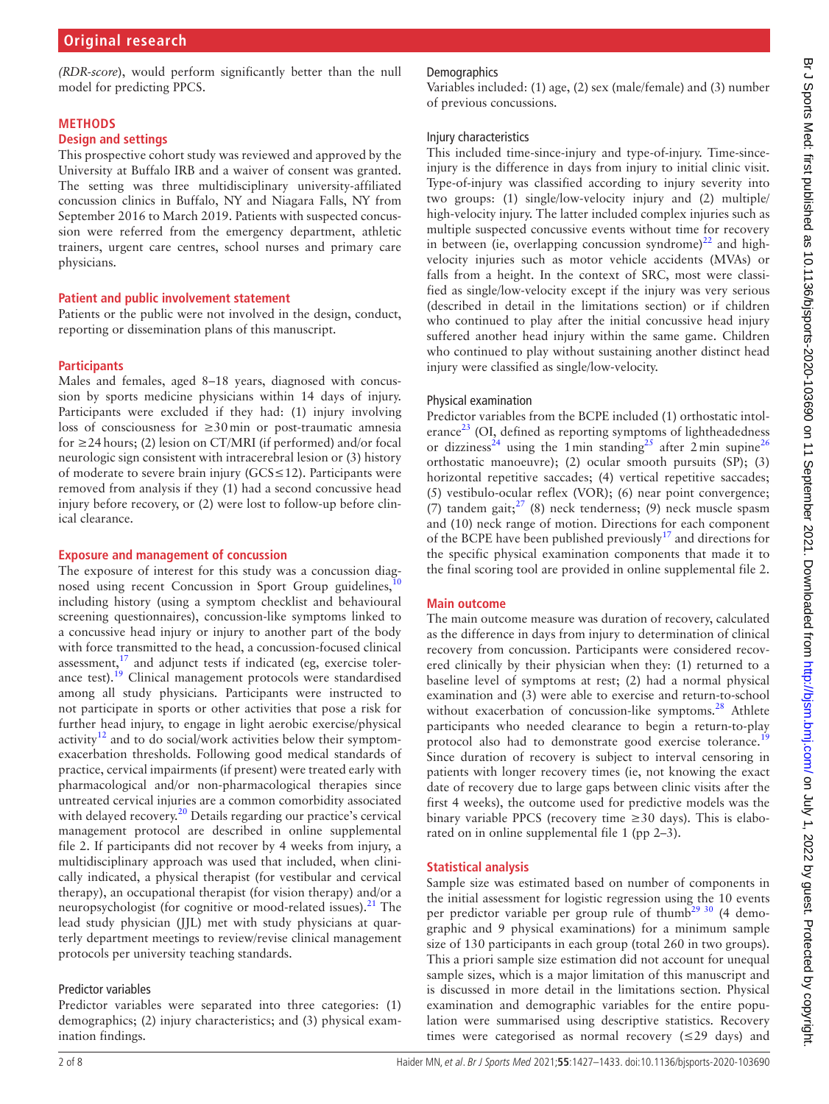*(RDR-score*), would perform significantly better than the null model for predicting PPCS.

#### **METHODS**

#### **Design and settings**

This prospective cohort study was reviewed and approved by the University at Buffalo IRB and a waiver of consent was granted. The setting was three multidisciplinary university-affiliated concussion clinics in Buffalo, NY and Niagara Falls, NY from September 2016 to March 2019. Patients with suspected concussion were referred from the emergency department, athletic trainers, urgent care centres, school nurses and primary care physicians.

#### **Patient and public involvement statement**

Patients or the public were not involved in the design, conduct, reporting or dissemination plans of this manuscript.

#### **Participants**

Males and females, aged 8–18 years, diagnosed with concussion by sports medicine physicians within 14 days of injury. Participants were excluded if they had: (1) injury involving loss of consciousness for ≥30min or post-traumatic amnesia for ≥24hours; (2) lesion on CT/MRI (if performed) and/or focal neurologic sign consistent with intracerebral lesion or (3) history of moderate to severe brain injury (GCS≤12). Participants were removed from analysis if they (1) had a second concussive head injury before recovery, or (2) were lost to follow-up before clinical clearance.

#### **Exposure and management of concussion**

The exposure of interest for this study was a concussion diagnosed using recent Concussion in Sport Group guidelines, including history (using a symptom checklist and behavioural screening questionnaires), concussion-like symptoms linked to a concussive head injury or injury to another part of the body with force transmitted to the head, a concussion-focused clinical assessment, $17$  and adjunct tests if indicated (eg, exercise tolerance test).<sup>19</sup> Clinical management protocols were standardised among all study physicians. Participants were instructed to not participate in sports or other activities that pose a risk for further head injury, to engage in light aerobic exercise/physical activity<sup>12</sup> and to do social/work activities below their symptomexacerbation thresholds. Following good medical standards of practice, cervical impairments (if present) were treated early with pharmacological and/or non-pharmacological therapies since untreated cervical injuries are a common comorbidity associated with delayed recovery.<sup>20</sup> Details regarding our practice's cervical management protocol are described in [online supplemental](https://dx.doi.org/10.1136/bjsports-2020-103690)  [file 2](https://dx.doi.org/10.1136/bjsports-2020-103690). If participants did not recover by 4 weeks from injury, a multidisciplinary approach was used that included, when clinically indicated, a physical therapist (for vestibular and cervical therapy), an occupational therapist (for vision therapy) and/or a neuropsychologist (for cognitive or mood-related issues).<sup>[21](#page-6-16)</sup> The lead study physician (JJL) met with study physicians at quarterly department meetings to review/revise clinical management protocols per university teaching standards.

#### Predictor variables

Predictor variables were separated into three categories: (1) demographics; (2) injury characteristics; and (3) physical examination findings.

## **Demographics**

Variables included: (1) age, (2) sex (male/female) and (3) number of previous concussions.

#### Injury characteristics

This included time-since-injury and type-of-injury. Time-sinceinjury is the difference in days from injury to initial clinic visit. Type-of-injury was classified according to injury severity into two groups: (1) single/low-velocity injury and (2) multiple/ high-velocity injury. The latter included complex injuries such as multiple suspected concussive events without time for recovery in between (ie, overlapping concussion syndrome) $^{22}$  and highvelocity injuries such as motor vehicle accidents (MVAs) or falls from a height. In the context of SRC, most were classified as single/low-velocity except if the injury was very serious (described in detail in the limitations section) or if children who continued to play after the initial concussive head injury suffered another head injury within the same game. Children who continued to play without sustaining another distinct head injury were classified as single/low-velocity.

#### Physical examination

Predictor variables from the BCPE included (1) orthostatic intolerance $^{23}$  $^{23}$  $^{23}$  (OI, defined as reporting symptoms of lightheadedness or dizziness<sup>24</sup> using the 1min standing<sup>25</sup> after 2min supine<sup>[26](#page-7-2)</sup> orthostatic manoeuvre); (2) ocular smooth pursuits (SP); (3) horizontal repetitive saccades; (4) vertical repetitive saccades; (5) vestibulo-ocular reflex (VOR); (6) near point convergence; (7) tandem gait; $^{27}$  $^{27}$  $^{27}$  (8) neck tenderness; (9) neck muscle spasm and (10) neck range of motion. Directions for each component of the BCPE have been published previously<sup>17</sup> and directions for the specific physical examination components that made it to the final scoring tool are provided in [online supplemental file 2.](https://dx.doi.org/10.1136/bjsports-2020-103690)

#### **Main outcome**

The main outcome measure was duration of recovery, calculated as the difference in days from injury to determination of clinical recovery from concussion. Participants were considered recovered clinically by their physician when they: (1) returned to a baseline level of symptoms at rest; (2) had a normal physical examination and (3) were able to exercise and return-to-school without exacerbation of concussion-like symptoms.<sup>28</sup> Athlete participants who needed clearance to begin a return-to-play protocol also had to demonstrate good exercise tolerance.<sup>[19](#page-6-14)</sup> Since duration of recovery is subject to interval censoring in patients with longer recovery times (ie, not knowing the exact date of recovery due to large gaps between clinic visits after the first 4 weeks), the outcome used for predictive models was the binary variable PPCS (recovery time  $\geq$ 30 days). This is elaborated on in [online supplemental file 1](https://dx.doi.org/10.1136/bjsports-2020-103690) (pp 2–3).

#### **Statistical analysis**

Sample size was estimated based on number of components in the initial assessment for logistic regression using the 10 events per predictor variable per group rule of thumb<sup>29 30</sup> (4 demographic and 9 physical examinations) for a minimum sample size of 130 participants in each group (total 260 in two groups). This a priori sample size estimation did not account for unequal sample sizes, which is a major limitation of this manuscript and is discussed in more detail in the limitations section. Physical examination and demographic variables for the entire population were summarised using descriptive statistics. Recovery times were categorised as normal recovery (≤29 days) and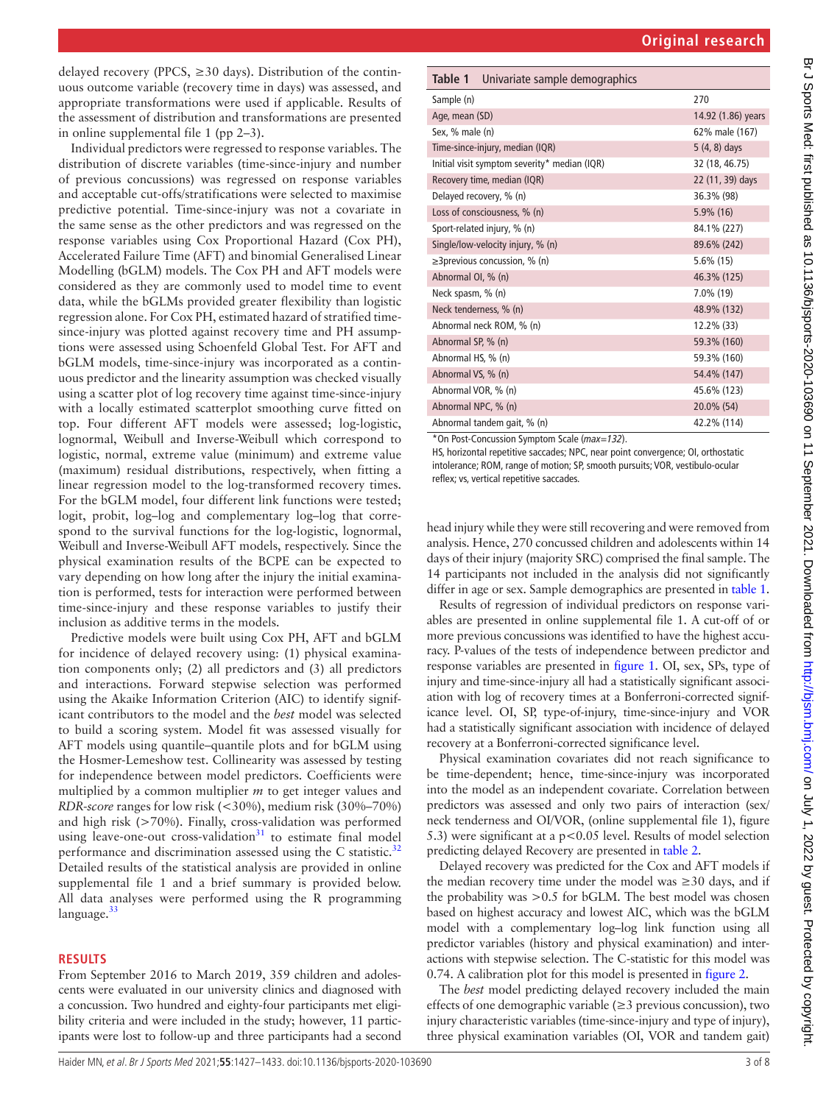Br J Sports Med: first published as 10.1136/bjsports-2020-103690 on 11 September 2021. Downloaded from http://bjsm.bmj.com/ on July 1, 2022 by guest. Protected by copyright Br J Sports Med: first published as 10.1136/bjsports-2020-103690 on 11 September 2021. Downloaded from mublishipsm.bmj.com/ on July 1, 2022 by guest. Protected by copyright.

delayed recovery (PPCS,  $\geq$ 30 days). Distribution of the continuous outcome variable (recovery time in days) was assessed, and appropriate transformations were used if applicable. Results of the assessment of distribution and transformations are presented in [online supplemental file 1](https://dx.doi.org/10.1136/bjsports-2020-103690) (pp 2–3).

Individual predictors were regressed to response variables. The distribution of discrete variables (time-since-injury and number of previous concussions) was regressed on response variables and acceptable cut-offs/stratifications were selected to maximise predictive potential. Time-since-injury was not a covariate in the same sense as the other predictors and was regressed on the response variables using Cox Proportional Hazard (Cox PH), Accelerated Failure Time (AFT) and binomial Generalised Linear Modelling (bGLM) models. The Cox PH and AFT models were considered as they are commonly used to model time to event data, while the bGLMs provided greater flexibility than logistic regression alone. For Cox PH, estimated hazard of stratified timesince-injury was plotted against recovery time and PH assumptions were assessed using Schoenfeld Global Test. For AFT and bGLM models, time-since-injury was incorporated as a continuous predictor and the linearity assumption was checked visually using a scatter plot of log recovery time against time-since-injury with a locally estimated scatterplot smoothing curve fitted on top. Four different AFT models were assessed; log-logistic, lognormal, Weibull and Inverse-Weibull which correspond to logistic, normal, extreme value (minimum) and extreme value (maximum) residual distributions, respectively, when fitting a linear regression model to the log-transformed recovery times. For the bGLM model, four different link functions were tested; logit, probit, log–log and complementary log–log that correspond to the survival functions for the log-logistic, lognormal, Weibull and Inverse-Weibull AFT models, respectively. Since the physical examination results of the BCPE can be expected to vary depending on how long after the injury the initial examination is performed, tests for interaction were performed between time-since-injury and these response variables to justify their inclusion as additive terms in the models.

Predictive models were built using Cox PH, AFT and bGLM for incidence of delayed recovery using: (1) physical examination components only; (2) all predictors and (3) all predictors and interactions. Forward stepwise selection was performed using the Akaike Information Criterion (AIC) to identify significant contributors to the model and the *best* model was selected to build a scoring system. Model fit was assessed visually for AFT models using quantile–quantile plots and for bGLM using the Hosmer-Lemeshow test. Collinearity was assessed by testing for independence between model predictors. Coefficients were multiplied by a common multiplier *m* to get integer values and *RDR-score* ranges for low risk (<30%), medium risk (30%–70%) and high risk (>70%). Finally, cross-validation was performed using leave-one-out cross-validation $31$  to estimate final model performance and discrimination assessed using the C statistic.<sup>[32](#page-7-7)</sup> Detailed results of the statistical analysis are provided in [online](https://dx.doi.org/10.1136/bjsports-2020-103690)  [supplemental file 1](https://dx.doi.org/10.1136/bjsports-2020-103690) and a brief summary is provided below. All data analyses were performed using the R programming language. $33$ 

#### **RESULTS**

From September 2016 to March 2019, 359 children and adolescents were evaluated in our university clinics and diagnosed with a concussion. Two hundred and eighty-four participants met eligibility criteria and were included in the study; however, 11 participants were lost to follow-up and three participants had a second

<span id="page-2-0"></span>

|  | Table 1 Univariate sample demographics |  |
|--|----------------------------------------|--|
|  |                                        |  |

| 270                |
|--------------------|
| 14.92 (1.86) years |
| 62% male (167)     |
| 5 (4, 8) days      |
| 32 (18, 46.75)     |
| 22 (11, 39) days   |
| 36.3% (98)         |
| $5.9\%$ (16)       |
| 84.1% (227)        |
| 89.6% (242)        |
| $5.6\%$ (15)       |
| 46.3% (125)        |
| 7.0% (19)          |
| 48.9% (132)        |
| 12.2% (33)         |
| 59.3% (160)        |
| 59.3% (160)        |
| 54.4% (147)        |
| 45.6% (123)        |
| 20.0% (54)         |
| 42.2% (114)        |
|                    |

\*On Post-Concussion Symptom Scale (*max=132*).

HS, horizontal repetitive saccades; NPC, near point convergence; OI, orthostatic intolerance; ROM, range of motion; SP, smooth pursuits; VOR, vestibulo-ocular reflex; vs, vertical repetitive saccades.

head injury while they were still recovering and were removed from analysis. Hence, 270 concussed children and adolescents within 14 days of their injury (majority SRC) comprised the final sample. The 14 participants not included in the analysis did not significantly differ in age or sex. Sample demographics are presented in [table](#page-2-0) 1.

Results of regression of individual predictors on response variables are presented in [online supplemental file 1](https://dx.doi.org/10.1136/bjsports-2020-103690). A cut-off of or more previous concussions was identified to have the highest accuracy. P-values of the tests of independence between predictor and response variables are presented in [figure](#page-3-0) 1. OI, sex, SPs, type of injury and time-since-injury all had a statistically significant association with log of recovery times at a Bonferroni-corrected significance level. OI, SP, type-of-injury, time-since-injury and VOR had a statistically significant association with incidence of delayed recovery at a Bonferroni-corrected significance level.

Physical examination covariates did not reach significance to be time-dependent; hence, time-since-injury was incorporated into the model as an independent covariate. Correlation between predictors was assessed and only two pairs of interaction (sex/ neck tenderness and OI/VOR, ([online supplemental file 1](https://dx.doi.org/10.1136/bjsports-2020-103690)), figure 5.3) were significant at a p<0.05 level. Results of model selection predicting delayed Recovery are presented in [table](#page-3-1) 2.

Delayed recovery was predicted for the Cox and AFT models if the median recovery time under the model was  $\geq 30$  days, and if the probability was >0.5 for bGLM. The best model was chosen based on highest accuracy and lowest AIC, which was the bGLM model with a complementary log–log link function using all predictor variables (history and physical examination) and interactions with stepwise selection. The C-statistic for this model was 0.74. A calibration plot for this model is presented in [figure](#page-4-0) 2.

The *best* model predicting delayed recovery included the main effects of one demographic variable  $(\geq 3$  previous concussion), two injury characteristic variables (time-since-injury and type of injury), three physical examination variables (OI, VOR and tandem gait)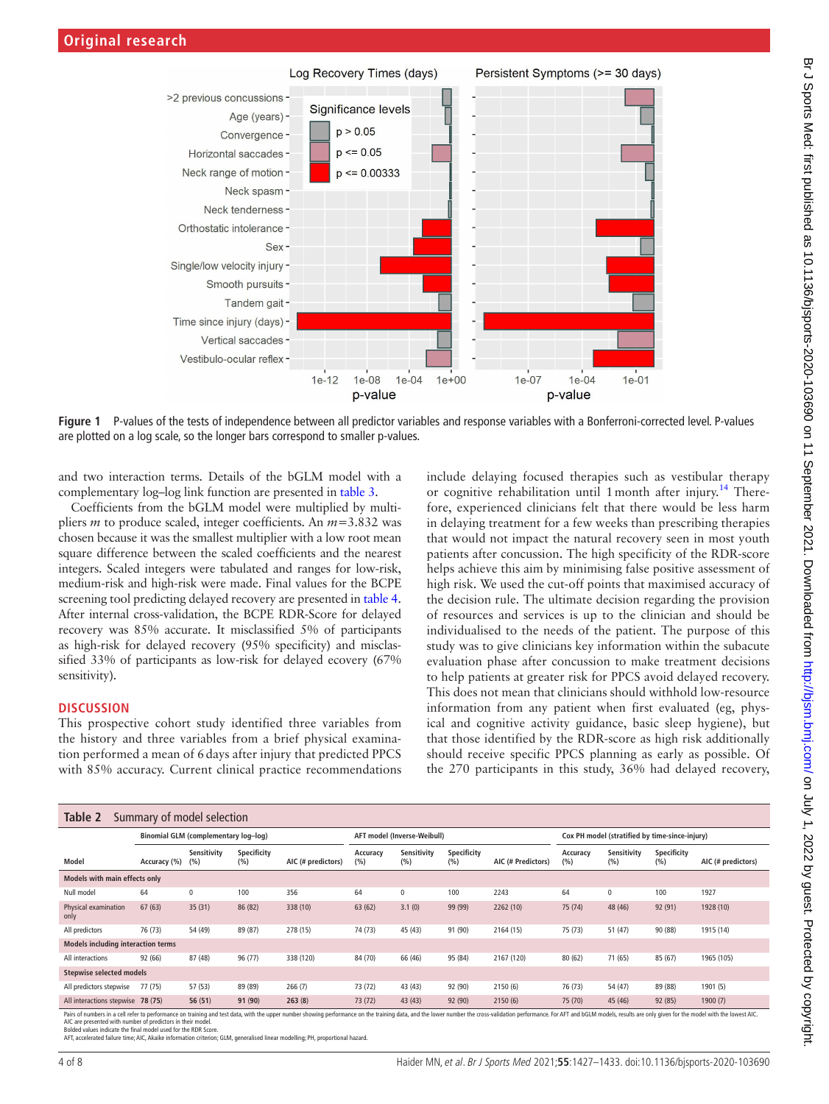

**Figure 1** P-values of the tests of independence between all predictor variables and response variables with a Bonferroni-corrected level. P-values are plotted on a log scale, so the longer bars correspond to smaller p-values.

and two interaction terms. Details of the bGLM model with a complementary log–log link function are presented in [table](#page-4-1) 3.

Coefficients from the bGLM model were multiplied by multipliers *m* to produce scaled, integer coefficients. An *m*=3.832 was chosen because it was the smallest multiplier with a low root mean square difference between the scaled coefficients and the nearest integers. Scaled integers were tabulated and ranges for low-risk, medium-risk and high-risk were made. Final values for the BCPE screening tool predicting delayed recovery are presented in [table](#page-4-2) 4. After internal cross-validation, the BCPE RDR-Score for delayed recovery was 85% accurate. It misclassified 5% of participants as high-risk for delayed recovery (95% specificity) and misclassified 33% of participants as low-risk for delayed ecovery (67% sensitivity).

#### **DISCUSSION**

This prospective cohort study identified three variables from the history and three variables from a brief physical examination performed a mean of 6days after injury that predicted PPCS with 85% accuracy. Current clinical practice recommendations <span id="page-3-0"></span>include delaying focused therapies such as vestibular therapy or cognitive rehabilitation until 1 month after injury.<sup>14</sup> Therefore, experienced clinicians felt that there would be less harm in delaying treatment for a few weeks than prescribing therapies that would not impact the natural recovery seen in most youth patients after concussion. The high specificity of the RDR-score helps achieve this aim by minimising false positive assessment of high risk. We used the cut-off points that maximised accuracy of the decision rule. The ultimate decision regarding the provision of resources and services is up to the clinician and should be individualised to the needs of the patient. The purpose of this study was to give clinicians key information within the subacute evaluation phase after concussion to make treatment decisions to help patients at greater risk for PPCS avoid delayed recovery. This does not mean that clinicians should withhold low-resource information from any patient when first evaluated (eg, physical and cognitive activity guidance, basic sleep hygiene), but that those identified by the RDR-score as high risk additionally should receive specific PPCS planning as early as possible. Of the 270 participants in this study, 36% had delayed recovery,

<span id="page-3-1"></span>

| Table 2<br>Summary of model selection     |                                      |                    |                    |                             |                 |                    |                                                |                    |                 |                    |                    |                    |
|-------------------------------------------|--------------------------------------|--------------------|--------------------|-----------------------------|-----------------|--------------------|------------------------------------------------|--------------------|-----------------|--------------------|--------------------|--------------------|
|                                           | Binomial GLM (complementary log-log) |                    |                    | AFT model (Inverse-Weibull) |                 |                    | Cox PH model (stratified by time-since-injury) |                    |                 |                    |                    |                    |
| Model                                     | Accuracy (%)                         | Sensitivity<br>(%) | Specificity<br>(%) | AIC (# predictors)          | Accuracy<br>(%) | Sensitivity<br>(%) | Specificity<br>(%)                             | AIC (# Predictors) | Accuracy<br>(%) | Sensitivity<br>(%) | Specificity<br>(%) | AIC (# predictors) |
| Models with main effects only             |                                      |                    |                    |                             |                 |                    |                                                |                    |                 |                    |                    |                    |
| Null model                                | 64                                   | $\mathbf{0}$       | 100                | 356                         | 64              | $\mathbf 0$        | 100                                            | 2243               | 64              | 0                  | 100                | 1927               |
| Physical examination<br>only              | 67(63)                               | 35(31)             | 86 (82)            | 338 (10)                    | 63 (62)         | 3.1(0)             | 99 (99)                                        | 2262 (10)          | 75 (74)         | 48 (46)            | 92 (91)            | 1928 (10)          |
| All predictors                            | 76 (73)                              | 54 (49)            | 89 (87)            | 278 (15)                    | 74 (73)         | 45 (43)            | 91 (90)                                        | 2164 (15)          | 75 (73)         | 51 (47)            | 90 (88)            | 1915 (14)          |
| <b>Models including interaction terms</b> |                                      |                    |                    |                             |                 |                    |                                                |                    |                 |                    |                    |                    |
| All interactions                          | 92 (66)                              | 87 (48)            | 96 (77)            | 338 (120)                   | 84 (70)         | 66 (46)            | 95 (84)                                        | 2167 (120)         | 80 (62)         | 71 (65)            | 85 (67)            | 1965 (105)         |
| <b>Stepwise selected models</b>           |                                      |                    |                    |                             |                 |                    |                                                |                    |                 |                    |                    |                    |
| All predictors stepwise                   | 77(75)                               | 57 (53)            | 89 (89)            | 266(7)                      | 73 (72)         | 43 (43)            | 92 (90)                                        | 2150(6)            | 76 (73)         | 54 (47)            | 89 (88)            | 1901 (5)           |
| All interactions stepwise 78 (75)         |                                      | 56(51)             | 91 (90)            | 263(8)                      | 73 (72)         | 43 (43)            | 92 (90)                                        | 2150(6)            | 75 (70)         | 45 (46)            | 92 (85)            | 1900(7)            |

Pairs of numbers in a cell refer to performance on training and test data, with the upper number showing performance on the training data, and the lower number the cross-validation performance. For AFT and bGLM models, res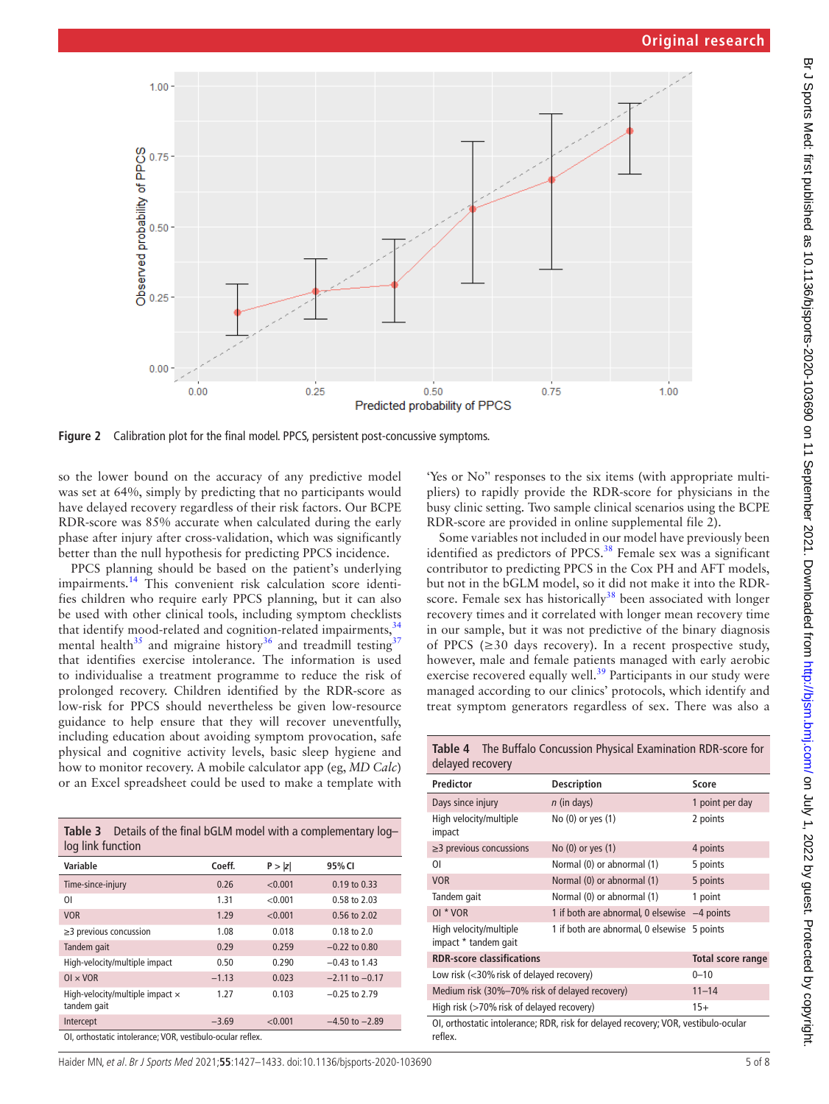

<span id="page-4-0"></span>**Figure 2** Calibration plot for the final model. PPCS, persistent post-concussive symptoms.

so the lower bound on the accuracy of any predictive model was set at 64%, simply by predicting that no participants would have delayed recovery regardless of their risk factors. Our BCPE RDR-score was 85% accurate when calculated during the early phase after injury after cross-validation, which was significantly better than the null hypothesis for predicting PPCS incidence.

PPCS planning should be based on the patient's underlying impairments.[14](#page-6-9) This convenient risk calculation score identifies children who require early PPCS planning, but it can also be used with other clinical tools, including symptom checklists that identify mood-related and cognition-related impairments, <sup>[34](#page-7-9)</sup> mental health<sup>35</sup> and migraine history<sup>36</sup> and treadmill testing<sup>[37](#page-7-12)</sup> that identifies exercise intolerance. The information is used to individualise a treatment programme to reduce the risk of prolonged recovery. Children identified by the RDR-score as low-risk for PPCS should nevertheless be given low-resource guidance to help ensure that they will recover uneventfully, including education about avoiding symptom provocation, safe physical and cognitive activity levels, basic sleep hygiene and how to monitor recovery. A mobile calculator app (eg, *MD Calc*) or an Excel spreadsheet could be used to make a template with

<span id="page-4-1"></span>

| Table 3 Details of the final bGLM model with a complementary log-<br>log link function |         |         |                    |  |  |  |
|----------------------------------------------------------------------------------------|---------|---------|--------------------|--|--|--|
| Variable                                                                               | Coeff.  | P >  z  | 95% CI             |  |  |  |
| Time-since-injury                                                                      | 0.26    | < 0.001 | $0.19$ to $0.33$   |  |  |  |
| ΟI                                                                                     | 1.31    | < 0.001 | 0.58 to 2.03       |  |  |  |
| <b>VOR</b>                                                                             | 1.29    | < 0.001 | 0.56 to 2.02       |  |  |  |
| $\geq$ 3 previous concussion                                                           | 1.08    | 0.018   | $0.18$ to $2.0$    |  |  |  |
| Tandem gait                                                                            | 0.29    | 0.259   | $-0.22$ to $0.80$  |  |  |  |
| High-velocity/multiple impact                                                          | 0.50    | 0.290   | $-0.43$ to 1.43    |  |  |  |
| $OL \times VOR$                                                                        | $-1.13$ | 0.023   | $-2.11$ to $-0.17$ |  |  |  |
| High-velocity/multiple impact $\times$<br>tandem gait                                  | 1.27    | 0.103   | $-0.25$ to 2.79    |  |  |  |
| Intercept                                                                              | $-3.69$ | < 0.001 | $-4.50$ to $-2.89$ |  |  |  |
| OL orthoctatic intolerance: VOR vestibule equiprizedex                                 |         |         |                    |  |  |  |

OI, orthostatic intolerance; VOR, vestibulo-ocular reflex.

'Yes or No'' responses to the six items (with appropriate multipliers) to rapidly provide the RDR-score for physicians in the busy clinic setting. Two sample clinical scenarios using the BCPE RDR-score are provided in [online supplemental file 2](https://dx.doi.org/10.1136/bjsports-2020-103690)).

Some variables not included in our model have previously been identified as predictors of PPCS.<sup>38</sup> Female sex was a significant contributor to predicting PPCS in the Cox PH and AFT models, but not in the bGLM model, so it did not make it into the RDRscore. Female sex has historically $38$  been associated with longer recovery times and it correlated with longer mean recovery time in our sample, but it was not predictive of the binary diagnosis of PPCS ( $\geq$ 30 days recovery). In a recent prospective study, however, male and female patients managed with early aerobic exercise recovered equally well.<sup>39</sup> Participants in our study were managed according to our clinics' protocols, which identify and treat symptom generators regardless of sex. There was also a

<span id="page-4-2"></span>

| Table 4 The Buffalo Concussion Physical Examination RDR-score for<br>delayed recovery         |                                    |                          |  |  |  |
|-----------------------------------------------------------------------------------------------|------------------------------------|--------------------------|--|--|--|
| Predictor                                                                                     | <b>Description</b>                 | Score                    |  |  |  |
| Days since injury                                                                             | $n$ (in days)                      | 1 point per day          |  |  |  |
| High velocity/multiple<br>impact                                                              | No (0) or yes (1)                  | 2 points                 |  |  |  |
| $\geq$ 3 previous concussions                                                                 | No (0) or yes (1)                  | 4 points                 |  |  |  |
| ΟI                                                                                            | Normal (0) or abnormal (1)         | 5 points                 |  |  |  |
| <b>VOR</b>                                                                                    | Normal (0) or abnormal (1)         | 5 points                 |  |  |  |
| Tandem gait                                                                                   | Normal (0) or abnormal (1)         | 1 point                  |  |  |  |
| OI * VOR                                                                                      | 1 if both are abnormal, 0 elsewise | $-4$ points              |  |  |  |
| High velocity/multiple<br>impact * tandem gait                                                | 1 if both are abnormal, 0 elsewise | 5 points                 |  |  |  |
| <b>RDR-score classifications</b>                                                              |                                    | <b>Total score range</b> |  |  |  |
| Low risk $\left\langle \langle 30\% \right\rangle$ risk of delayed recovery)                  | $0 - 10$                           |                          |  |  |  |
| Medium risk (30%-70% risk of delayed recovery)                                                | $11 - 14$                          |                          |  |  |  |
| High risk (>70% risk of delayed recovery)<br>$15+$                                            |                                    |                          |  |  |  |
| OI, orthostatic intolerance; RDR, risk for delayed recovery; VOR, vestibulo-ocular<br>reflex. |                                    |                          |  |  |  |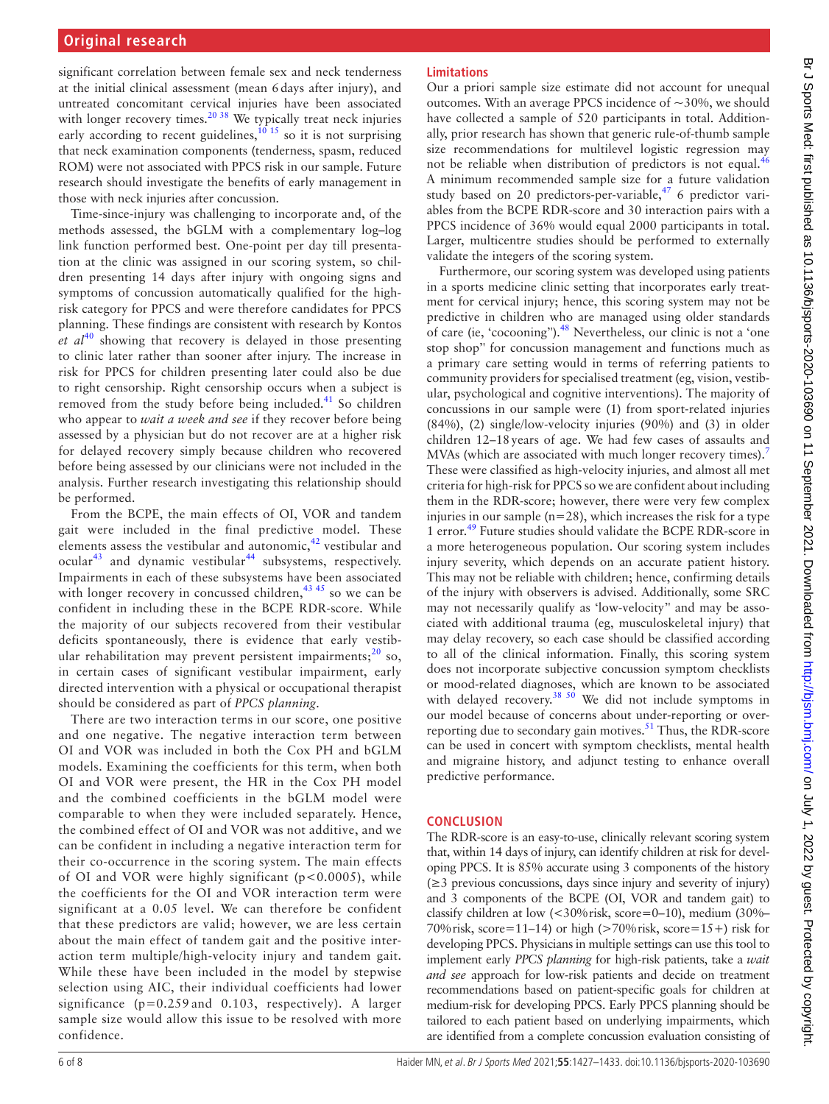significant correlation between female sex and neck tenderness at the initial clinical assessment (mean 6days after injury), and untreated concomitant cervical injuries have been associated with longer recovery times.<sup>20 38</sup> We typically treat neck injuries early according to recent guidelines,  $^{10}$  15 so it is not surprising that neck examination components (tenderness, spasm, reduced ROM) were not associated with PPCS risk in our sample. Future research should investigate the benefits of early management in those with neck injuries after concussion.

Time-since-injury was challenging to incorporate and, of the methods assessed, the bGLM with a complementary log–log link function performed best. One-point per day till presentation at the clinic was assigned in our scoring system, so children presenting 14 days after injury with ongoing signs and symptoms of concussion automatically qualified for the highrisk category for PPCS and were therefore candidates for PPCS planning. These findings are consistent with research by Kontos  $et \text{ } a l^{40}$  $et \text{ } a l^{40}$  $et \text{ } a l^{40}$  showing that recovery is delayed in those presenting to clinic later rather than sooner after injury. The increase in risk for PPCS for children presenting later could also be due to right censorship. Right censorship occurs when a subject is removed from the study before being included.<sup>[41](#page-7-16)</sup> So children who appear to *wait a week and see* if they recover before being assessed by a physician but do not recover are at a higher risk for delayed recovery simply because children who recovered before being assessed by our clinicians were not included in the analysis. Further research investigating this relationship should be performed.

From the BCPE, the main effects of OI, VOR and tandem gait were included in the final predictive model. These elements assess the vestibular and autonomic, $42$  vestibular and ocular<sup>43</sup> and dynamic vestibular<sup>44</sup> subsystems, respectively. Impairments in each of these subsystems have been associated with longer recovery in concussed children,  $43\frac{45}{15}$  so we can be confident in including these in the BCPE RDR-score. While the majority of our subjects recovered from their vestibular deficits spontaneously, there is evidence that early vestibular rehabilitation may prevent persistent impairments; $^{20}$  so, in certain cases of significant vestibular impairment, early directed intervention with a physical or occupational therapist should be considered as part of *PPCS planning*.

There are two interaction terms in our score, one positive and one negative. The negative interaction term between OI and VOR was included in both the Cox PH and bGLM models. Examining the coefficients for this term, when both OI and VOR were present, the HR in the Cox PH model and the combined coefficients in the bGLM model were comparable to when they were included separately. Hence, the combined effect of OI and VOR was not additive, and we can be confident in including a negative interaction term for their co-occurrence in the scoring system. The main effects of OI and VOR were highly significant (p<0.0005), while the coefficients for the OI and VOR interaction term were significant at a 0.05 level. We can therefore be confident that these predictors are valid; however, we are less certain about the main effect of tandem gait and the positive interaction term multiple/high-velocity injury and tandem gait. While these have been included in the model by stepwise selection using AIC, their individual coefficients had lower significance (p=0.259 and 0.103, respectively). A larger sample size would allow this issue to be resolved with more confidence.

## **Limitations**

Our a priori sample size estimate did not account for unequal outcomes. With an average PPCS incidence of  $\sim$ 30%, we should have collected a sample of 520 participants in total. Additionally, prior research has shown that generic rule-of-thumb sample size recommendations for multilevel logistic regression may not be reliable when distribution of predictors is not equal.<sup>[46](#page-7-20)</sup> A minimum recommended sample size for a future validation study based on 20 predictors-per-variable, $17/6$  predictor variables from the BCPE RDR-score and 30 interaction pairs with a PPCS incidence of 36% would equal 2000 participants in total. Larger, multicentre studies should be performed to externally validate the integers of the scoring system.

Furthermore, our scoring system was developed using patients in a sports medicine clinic setting that incorporates early treatment for cervical injury; hence, this scoring system may not be predictive in children who are managed using older standards of care (ie, 'cocooning').<sup>[48](#page-7-22)</sup> Nevertheless, our clinic is not a 'one stop shop'' for concussion management and functions much as a primary care setting would in terms of referring patients to community providers for specialised treatment (eg, vision, vestibular, psychological and cognitive interventions). The majority of concussions in our sample were (1) from sport-related injuries (84%), (2) single/low-velocity injuries (90%) and (3) in older children 12–18years of age. We had few cases of assaults and MVAs (which are associated with much longer recovery times).<sup>[7](#page-6-4)</sup> These were classified as high-velocity injuries, and almost all met criteria for high-risk for PPCS so we are confident about including them in the RDR-score; however, there were very few complex injuries in our sample  $(n=28)$ , which increases the risk for a type 1 error.[49](#page-7-23) Future studies should validate the BCPE RDR-score in a more heterogeneous population. Our scoring system includes injury severity, which depends on an accurate patient history. This may not be reliable with children; hence, confirming details of the injury with observers is advised. Additionally, some SRC may not necessarily qualify as 'low-velocity'' and may be associated with additional trauma (eg, musculoskeletal injury) that may delay recovery, so each case should be classified according to all of the clinical information. Finally, this scoring system does not incorporate subjective concussion symptom checklists or mood-related diagnoses, which are known to be associated with delayed recovery.<sup>38 50</sup> We did not include symptoms in our model because of concerns about under-reporting or overreporting due to secondary gain motives. $51$  Thus, the RDR-score can be used in concert with symptom checklists, mental health and migraine history, and adjunct testing to enhance overall predictive performance.

#### **CONCLUSION**

The RDR-score is an easy-to-use, clinically relevant scoring system that, within 14 days of injury, can identify children at risk for developing PPCS. It is 85% accurate using 3 components of the history (≥3 previous concussions, days since injury and severity of injury) and 3 components of the BCPE (OI, VOR and tandem gait) to classify children at low (<30%risk, score=0–10), medium (30%– 70% risk, score=11–14) or high  $(>70\%$  risk, score=15+) risk for developing PPCS. Physicians in multiple settings can use this tool to implement early *PPCS planning* for high-risk patients, take a *wait and see* approach for low-risk patients and decide on treatment recommendations based on patient-specific goals for children at medium-risk for developing PPCS. Early PPCS planning should be tailored to each patient based on underlying impairments, which are identified from a complete concussion evaluation consisting of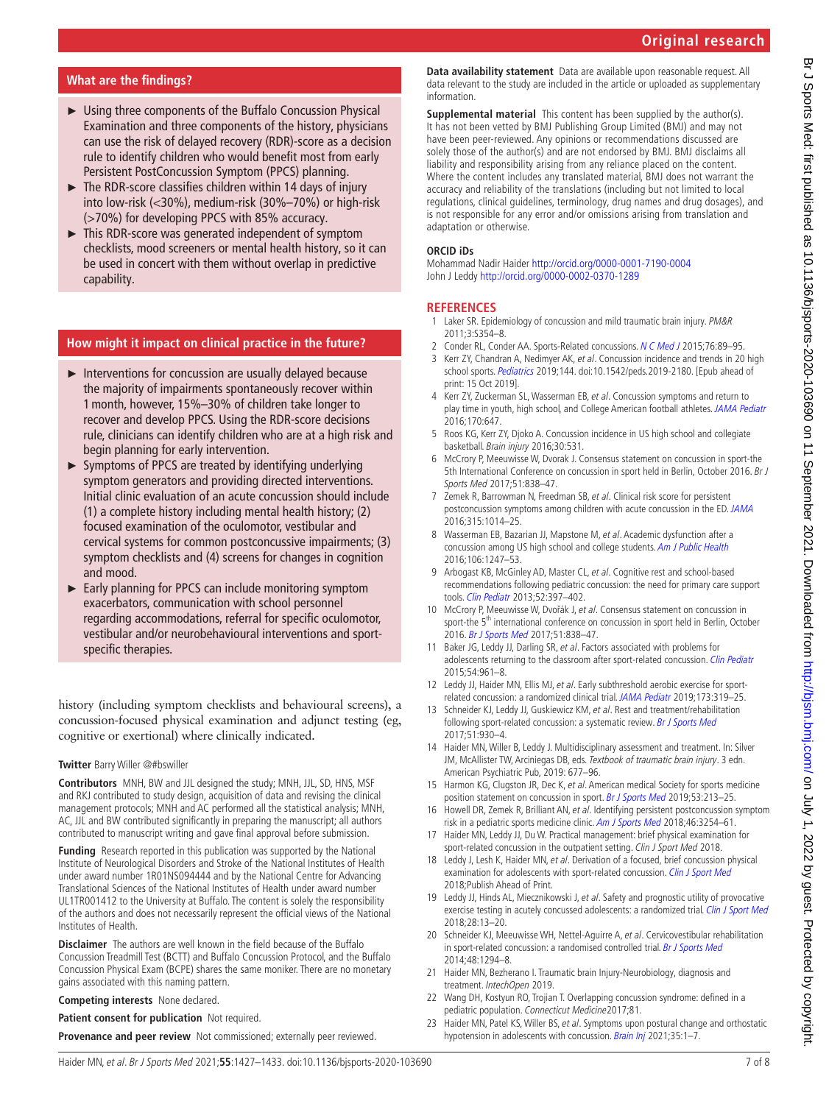### **What are the findings?**

- ► Using three components of the Buffalo Concussion Physical Examination and three components of the history, physicians can use the risk of delayed recovery (RDR)-score as a decision rule to identify children who would benefit most from early Persistent PostConcussion Symptom (PPCS) planning.
- $\blacktriangleright$  The RDR-score classifies children within 14 days of injury into low-risk (<30%), medium-risk (30%–70%) or high-risk (>70%) for developing PPCS with 85% accuracy.
- ► This RDR-score was generated independent of symptom checklists, mood screeners or mental health history, so it can be used in concert with them without overlap in predictive capability.

#### **How might it impact on clinical practice in the future?**

- ► Interventions for concussion are usually delayed because the majority of impairments spontaneously recover within 1month, however, 15%–30% of children take longer to recover and develop PPCS. Using the RDR-score decisions rule, clinicians can identify children who are at a high risk and begin planning for early intervention.
- ► Symptoms of PPCS are treated by identifying underlying symptom generators and providing directed interventions. Initial clinic evaluation of an acute concussion should include (1) a complete history including mental health history; (2) focused examination of the oculomotor, vestibular and cervical systems for common postconcussive impairments; (3) symptom checklists and (4) screens for changes in cognition and mood.
- ► Early planning for PPCS can include monitoring symptom exacerbators, communication with school personnel regarding accommodations, referral for specific oculomotor, vestibular and/or neurobehavioural interventions and sportspecific therapies.

history (including symptom checklists and behavioural screens), a concussion-focused physical examination and adjunct testing (eg, cognitive or exertional) where clinically indicated.

#### **Twitter** Barry Willer [@#bswiller](https://twitter.com/#bswiller)

**Contributors** MNH, BW and JJL designed the study; MNH, JJL, SD, HNS, MSF and RKJ contributed to study design, acquisition of data and revising the clinical management protocols; MNH and AC performed all the statistical analysis; MNH, AC, JJL and BW contributed significantly in preparing the manuscript; all authors contributed to manuscript writing and gave final approval before submission.

**Funding** Research reported in this publication was supported by the National Institute of Neurological Disorders and Stroke of the National Institutes of Health under award number 1R01NS094444 and by the National Centre for Advancing Translational Sciences of the National Institutes of Health under award number UL1TR001412 to the University at Buffalo. The content is solely the responsibility of the authors and does not necessarily represent the official views of the National Institutes of Health.

**Disclaimer** The authors are well known in the field because of the Buffalo Concussion Treadmill Test (BCTT) and Buffalo Concussion Protocol, and the Buffalo Concussion Physical Exam (BCPE) shares the same moniker. There are no monetary gains associated with this naming pattern.

**Competing interests** None declared.

**Patient consent for publication** Not required.

**Provenance and peer review** Not commissioned; externally peer reviewed.

**Data availability statement** Data are available upon reasonable request. All data relevant to the study are included in the article or uploaded as supplementary information.

**Supplemental material** This content has been supplied by the author(s). It has not been vetted by BMJ Publishing Group Limited (BMJ) and may not have been peer-reviewed. Any opinions or recommendations discussed are solely those of the author(s) and are not endorsed by BMJ. BMJ disclaims all liability and responsibility arising from any reliance placed on the content. Where the content includes any translated material, BMJ does not warrant the accuracy and reliability of the translations (including but not limited to local regulations, clinical guidelines, terminology, drug names and drug dosages), and is not responsible for any error and/or omissions arising from translation and adaptation or otherwise.

#### **ORCID iDs**

Mohammad Nadir Haider<http://orcid.org/0000-0001-7190-0004> John J Leddy<http://orcid.org/0000-0002-0370-1289>

#### **REFERENCES**

- <span id="page-6-0"></span>1 Laker SR. Epidemiology of concussion and mild traumatic brain injury. PM&R 2011;3:S354–8.
- <span id="page-6-1"></span>2 Conder RL, Conder AA, Sports-Related concussions. [N C Med J](http://dx.doi.org/10.18043/ncm.76.2.89) 2015:76:89-95.
- <span id="page-6-2"></span>3 Kerr ZY, Chandran A, Nedimyer AK, et al. Concussion incidence and trends in 20 high school sports. [Pediatrics](http://dx.doi.org/10.1542/peds.2019-2180) 2019;144. doi:10.1542/peds.2019-2180. [Epub ahead of print: 15 Oct 2019].
- <span id="page-6-5"></span>4 Kerr ZY, Zuckerman SL, Wasserman EB, et al. Concussion symptoms and return to play time in youth, high school, and College American football athletes. [JAMA Pediatr](http://dx.doi.org/10.1001/jamapediatrics.2016.0073) 2016;170:647.
- 5 Roos KG, Kerr ZY, Djoko A. Concussion incidence in US high school and collegiate basketball. Brain injury 2016;30:531.
- <span id="page-6-3"></span>6 McCrory P, Meeuwisse W, Dvorak J. Consensus statement on concussion in sport-the 5th International Conference on concussion in sport held in Berlin, October 2016. Br J Sports Med 2017;51:838–47.
- <span id="page-6-4"></span>7 Zemek R, Barrowman N, Freedman SB, et al. Clinical risk score for persistent postconcussion symptoms among children with acute concussion in the ED. [JAMA](http://dx.doi.org/10.1001/jama.2016.1203) 2016;315:1014–25.
- 8 Wasserman EB, Bazarian JJ, Mapstone M, et al. Academic dysfunction after a concussion among US high school and college students. [Am J Public Health](http://dx.doi.org/10.2105/AJPH.2016.303154) 2016;106:1247–53.
- <span id="page-6-7"></span>9 Arbogast KB, McGinley AD, Master CL, et al. Cognitive rest and school-based recommendations following pediatric concussion: the need for primary care support tools. [Clin Pediatr](http://dx.doi.org/10.1177/0009922813478160) 2013;52:397–402.
- <span id="page-6-6"></span>10 McCrory P, Meeuwisse W, Dvořák J, et al. Consensus statement on concussion in sport-the 5<sup>th</sup> international conference on concussion in sport held in Berlin, October 2016. [Br J Sports Med](http://dx.doi.org/10.1136/bjsports-2017-097699) 2017;51:838–47.
- 11 Baker JG, Leddy JJ, Darling SR, et al. Factors associated with problems for adolescents returning to the classroom after sport-related concussion. [Clin Pediatr](http://dx.doi.org/10.1177/0009922815588820) 2015;54:961–8.
- <span id="page-6-8"></span>12 Leddy JJ, Haider MN, Ellis MJ, et al. Early subthreshold aerobic exercise for sportrelated concussion: a randomized clinical trial. [JAMA Pediatr](http://dx.doi.org/10.1001/jamapediatrics.2018.4397) 2019;173:319–25.
- 13 Schneider KJ, Leddy JJ, Guskiewicz KM, et al. Rest and treatment/rehabilitation following sport-related concussion: a systematic review. [Br J Sports Med](http://dx.doi.org/10.1136/bjsports-2016-097475) 2017;51:930–4.
- <span id="page-6-9"></span>14 Haider MN, Willer B, Leddy J. Multidisciplinary assessment and treatment. In: Silver JM, McAllister TW, Arciniegas DB, eds. Textbook of traumatic brain injury. 3 edn. American Psychiatric Pub, 2019: 677–96.
- <span id="page-6-10"></span>15 Harmon KG, Clugston JR, Dec K, et al. American medical Society for sports medicine position statement on concussion in sport. [Br J Sports Med](http://dx.doi.org/10.1136/bjsports-2018-100338) 2019;53:213-25.
- <span id="page-6-11"></span>16 Howell DR, Zemek R, Brilliant AN, et al. Identifying persistent postconcussion symptom risk in a pediatric sports medicine clinic. [Am J Sports Med](http://dx.doi.org/10.1177/0363546518796830) 2018;46:3254-61.
- <span id="page-6-12"></span>17 Haider MN, Leddy JJ, Du W. Practical management: brief physical examination for sport-related concussion in the outpatient setting. Clin J Sport Med 2018.
- <span id="page-6-13"></span>18 Leddy J, Lesh K, Haider MN, et al. Derivation of a focused, brief concussion physical examination for adolescents with sport-related concussion. [Clin J Sport Med](http://dx.doi.org/10.1097/JSM.0000000000000686) 2018;Publish Ahead of Print.
- <span id="page-6-14"></span>19 Leddy JJ, Hinds AL, Miecznikowski J, et al. Safety and prognostic utility of provocative exercise testing in acutely concussed adolescents: a randomized trial. [Clin J Sport Med](http://dx.doi.org/10.1097/JSM.0000000000000431) 2018;28:13–20.
- <span id="page-6-15"></span>20 Schneider KJ, Meeuwisse WH, Nettel-Aquirre A, et al. Cervicovestibular rehabilitation in sport-related concussion: a randomised controlled trial. [Br J Sports Med](http://dx.doi.org/10.1136/bjsports-2013-093267) 2014;48:1294–8.
- <span id="page-6-16"></span>21 Haider MN, Bezherano I. Traumatic brain Injury-Neurobiology, diagnosis and treatment. IntechOpen 2019.
- <span id="page-6-17"></span>22 Wang DH, Kostyun RO, Trojian T. Overlapping concussion syndrome: defined in a pediatric population. Connecticut Medicine2017;81.
- <span id="page-6-18"></span>23 Haider MN, Patel KS, Willer BS, et al. Symptoms upon postural change and orthostatic hypotension in adolescents with concussion. [Brain Inj](http://dx.doi.org/10.1080/02699052.2021.1871951) 2021;35:1-7.